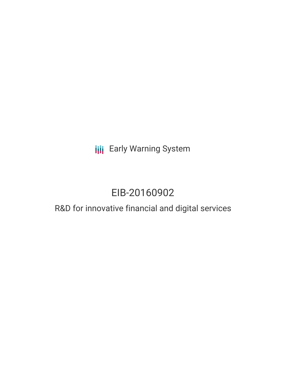**III** Early Warning System

# EIB-20160902

## R&D for innovative financial and digital services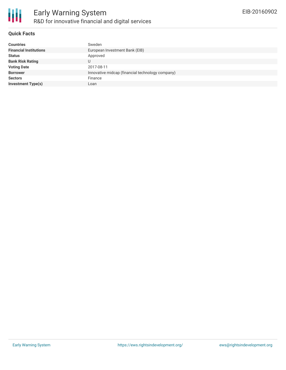

#### **Quick Facts**

| <b>Countries</b>              | Sweden                                           |
|-------------------------------|--------------------------------------------------|
| <b>Financial Institutions</b> | European Investment Bank (EIB)                   |
| <b>Status</b>                 | Approved                                         |
| <b>Bank Risk Rating</b>       | U                                                |
| <b>Voting Date</b>            | 2017-08-11                                       |
| <b>Borrower</b>               | Innovative midcap (financial technology company) |
| <b>Sectors</b>                | Finance                                          |
| <b>Investment Type(s)</b>     | Loan                                             |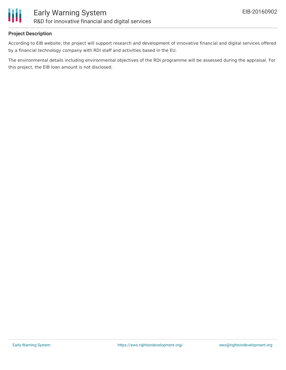

#### **Project Description**

According to EIB website, the project will support research and development of innovative financial and digital services offered by a financial technology company with RDI staff and activities based in the EU.

The environmental details including environmental objectives of the RDI programme will be assessed during the appraisal. For this project, the EIB loan amount is not disclosed.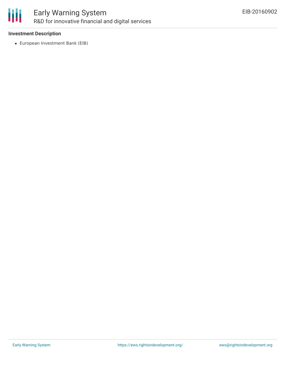

## Early Warning System R&D for innovative financial and digital services

#### **Investment Description**

European Investment Bank (EIB)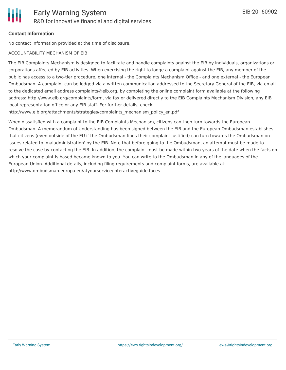#### **Contact Information**

No contact information provided at the time of disclosure.

#### ACCOUNTABILITY MECHANISM OF EIB

The EIB Complaints Mechanism is designed to facilitate and handle complaints against the EIB by individuals, organizations or corporations affected by EIB activities. When exercising the right to lodge a complaint against the EIB, any member of the public has access to a two-tier procedure, one internal - the Complaints Mechanism Office - and one external - the European Ombudsman. A complaint can be lodged via a written communication addressed to the Secretary General of the EIB, via email to the dedicated email address complaints@eib.org, by completing the online complaint form available at the following address: http://www.eib.org/complaints/form, via fax or delivered directly to the EIB Complaints Mechanism Division, any EIB local representation office or any EIB staff. For further details, check:

http://www.eib.org/attachments/strategies/complaints\_mechanism\_policy\_en.pdf

When dissatisfied with a complaint to the EIB Complaints Mechanism, citizens can then turn towards the European Ombudsman. A memorandum of Understanding has been signed between the EIB and the European Ombudsman establishes that citizens (even outside of the EU if the Ombudsman finds their complaint justified) can turn towards the Ombudsman on issues related to 'maladministration' by the EIB. Note that before going to the Ombudsman, an attempt must be made to resolve the case by contacting the EIB. In addition, the complaint must be made within two years of the date when the facts on which your complaint is based became known to you. You can write to the Ombudsman in any of the languages of the European Union. Additional details, including filing requirements and complaint forms, are available at: http://www.ombudsman.europa.eu/atyourservice/interactiveguide.faces